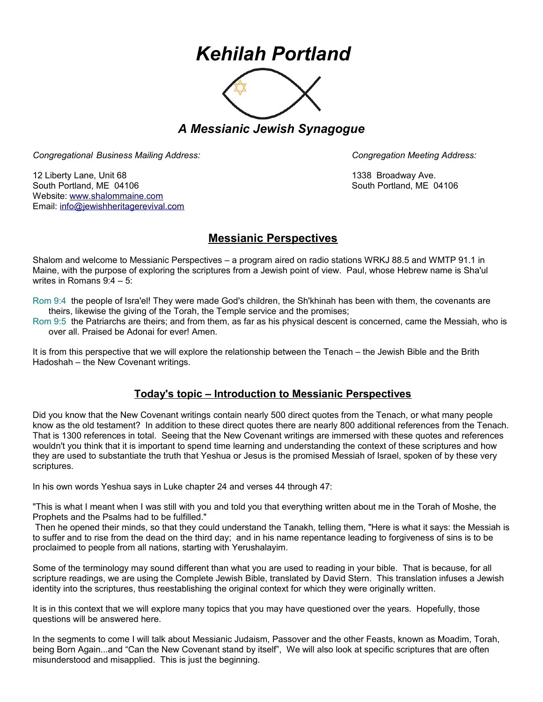## *Kehilah Portland*



*A Messianic Jewish Synagogue* 

*Congregational Business Mailing Address: Congregation Meeting Address:*

12 Liberty Lane, Unit 68 1338 Broadway Ave. South Portland, ME 04106 South Portland, ME 04106 Website: [www.shalommaine.com](http://www.shalommaine.com/) Email: [info@jewishheritagerevival.com](mailto:info@jewishheritagerevival.com) 

## **Messianic Perspectives**

Shalom and welcome to Messianic Perspectives – a program aired on radio stations WRKJ 88.5 and WMTP 91.1 in Maine, with the purpose of exploring the scriptures from a Jewish point of view. Paul, whose Hebrew name is Sha'ul writes in Romans 9:4 – 5:

Rom 9:4 the people of Isra'el! They were made God's children, the Sh'khinah has been with them, the covenants are theirs, likewise the giving of the Torah, the Temple service and the promises;

Rom 9:5 the Patriarchs are theirs; and from them, as far as his physical descent is concerned, came the Messiah, who is over all. Praised be Adonai for ever! Amen.

It is from this perspective that we will explore the relationship between the Tenach – the Jewish Bible and the Brith Hadoshah – the New Covenant writings.

## **Today's topic – Introduction to Messianic Perspectives**

Did you know that the New Covenant writings contain nearly 500 direct quotes from the Tenach, or what many people know as the old testament? In addition to these direct quotes there are nearly 800 additional references from the Tenach. That is 1300 references in total. Seeing that the New Covenant writings are immersed with these quotes and references wouldn't you think that it is important to spend time learning and understanding the context of these scriptures and how they are used to substantiate the truth that Yeshua or Jesus is the promised Messiah of Israel, spoken of by these very scriptures.

In his own words Yeshua says in Luke chapter 24 and verses 44 through 47:

"This is what I meant when I was still with you and told you that everything written about me in the Torah of Moshe, the Prophets and the Psalms had to be fulfilled."

 Then he opened their minds, so that they could understand the Tanakh, telling them, "Here is what it says: the Messiah is to suffer and to rise from the dead on the third day; and in his name repentance leading to forgiveness of sins is to be proclaimed to people from all nations, starting with Yerushalayim.

Some of the terminology may sound different than what you are used to reading in your bible. That is because, for all scripture readings, we are using the Complete Jewish Bible, translated by David Stern. This translation infuses a Jewish identity into the scriptures, thus reestablishing the original context for which they were originally written.

It is in this context that we will explore many topics that you may have questioned over the years. Hopefully, those questions will be answered here.

In the segments to come I will talk about Messianic Judaism, Passover and the other Feasts, known as Moadim, Torah, being Born Again...and "Can the New Covenant stand by itself", We will also look at specific scriptures that are often misunderstood and misapplied. This is just the beginning.